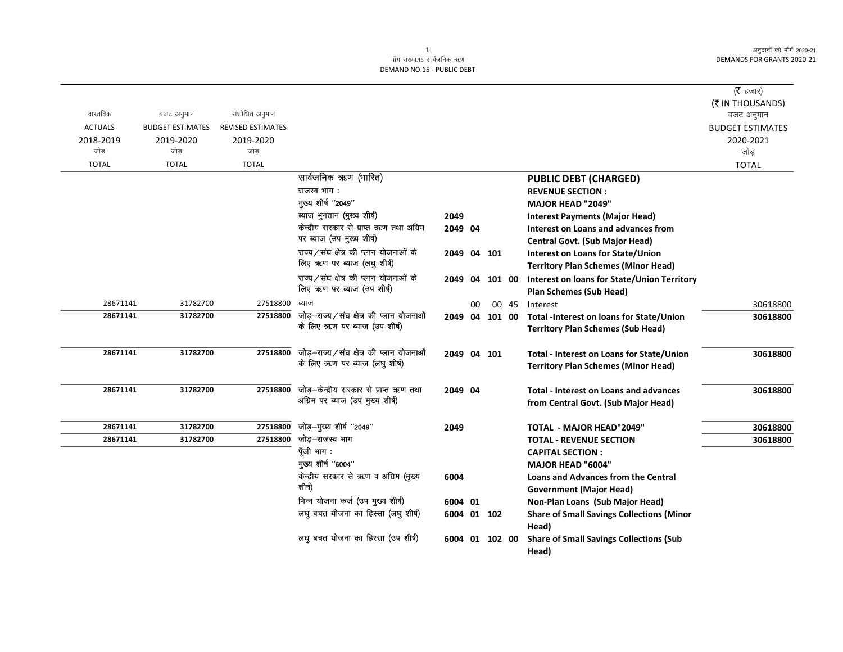अनुदानों की माँगें 2020-21 DEMANDS FOR GRANTS 2020-21

## माँग संख्या.15 सार्वजनिक ऋण DEMAND NO.15 - PUBLIC DEBT

|                |                         |                          |                                                                        |                |    |       |                                                  | ( $\bar{\tau}$ हजार)<br>(₹ IN THOUSANDS) |
|----------------|-------------------------|--------------------------|------------------------------------------------------------------------|----------------|----|-------|--------------------------------------------------|------------------------------------------|
| वास्तविक       | बजट अनुमान              | संशोधित अनुमान           |                                                                        |                |    |       |                                                  | बजट अनुमान                               |
| <b>ACTUALS</b> | <b>BUDGET ESTIMATES</b> | <b>REVISED ESTIMATES</b> |                                                                        |                |    |       |                                                  | <b>BUDGET ESTIMATES</b>                  |
| 2018-2019      | 2019-2020               | 2019-2020                |                                                                        |                |    |       |                                                  | 2020-2021                                |
| जोड            | जोड                     | जोड़                     |                                                                        |                |    |       |                                                  | जोड़                                     |
| <b>TOTAL</b>   | <b>TOTAL</b>            | <b>TOTAL</b>             |                                                                        |                |    |       |                                                  | <b>TOTAL</b>                             |
|                |                         |                          | सार्वजनिक ऋण (भारित)                                                   |                |    |       | <b>PUBLIC DEBT (CHARGED)</b>                     |                                          |
|                |                         |                          | राजस्व भाग :                                                           |                |    |       | <b>REVENUE SECTION:</b>                          |                                          |
|                |                         |                          | मुख्य शीर्ष "2049"                                                     |                |    |       | <b>MAJOR HEAD "2049"</b>                         |                                          |
|                |                         |                          | ब्याज भुगतान (मुख्य शीर्ष)<br>केन्द्रीय सरकार से प्राप्त ऋण तथा अग्रिम | 2049           |    |       | <b>Interest Payments (Major Head)</b>            |                                          |
|                |                         |                          | पर ब्याज (उप मुख्य शीर्ष)                                              | 2049 04        |    |       | Interest on Loans and advances from              |                                          |
|                |                         |                          | राज्य/संघ क्षेत्र की प्लान योजनाओं के                                  |                |    |       | <b>Central Govt. (Sub Major Head)</b>            |                                          |
|                |                         |                          | लिए ऋण पर ब्याज (लघु शीर्ष)                                            | 2049 04 101    |    |       | Interest on Loans for State/Union                |                                          |
|                |                         |                          | राज्य/संघ क्षेत्र की प्लान योजनाओं के                                  |                |    |       | <b>Territory Plan Schemes (Minor Head)</b>       |                                          |
|                |                         |                          | लिए ऋण पर ब्याज (उप शीर्ष)                                             | 2049 04 101 00 |    |       | Interest on loans for State/Union Territory      |                                          |
| 28671141       | 31782700                | 27518800                 | ब्याज                                                                  |                | 00 | 00 45 | <b>Plan Schemes (Sub Head)</b><br>Interest       | 30618800                                 |
| 28671141       | 31782700                | 27518800                 | जोड़-राज्य/संघ क्षेत्र की प्लान योजनाओं                                | 2049 04 101 00 |    |       | Total -Interest on loans for State/Union         | 30618800                                 |
|                |                         |                          | के लिए ऋण पर ब्याज (उप शीर्ष)                                          |                |    |       | <b>Territory Plan Schemes (Sub Head)</b>         |                                          |
|                |                         |                          |                                                                        |                |    |       |                                                  |                                          |
| 28671141       | 31782700                | 27518800                 | जोड़-राज्य/संघ क्षेत्र की प्लान योजनाओं                                | 2049 04 101    |    |       | Total - Interest on Loans for State/Union        | 30618800                                 |
|                |                         |                          | के लिए ऋण पर ब्याज (लघु शीर्ष)                                         |                |    |       | <b>Territory Plan Schemes (Minor Head)</b>       |                                          |
|                |                         |                          |                                                                        |                |    |       |                                                  |                                          |
| 28671141       | 31782700                | 27518800                 | जोड़-केन्द्रीय सरकार से प्राप्त ऋण तथा                                 | 2049 04        |    |       | <b>Total - Interest on Loans and advances</b>    | 30618800                                 |
|                |                         |                          | अग्रिम पर ब्याज (उप मुख्य शीर्ष)                                       |                |    |       | from Central Govt. (Sub Major Head)              |                                          |
|                |                         |                          |                                                                        |                |    |       |                                                  |                                          |
| 28671141       | 31782700                | 27518800                 | जोड़-मुख्य शीर्ष "2049"                                                | 2049           |    |       | <b>TOTAL - MAJOR HEAD"2049"</b>                  | 30618800                                 |
| 28671141       | 31782700                | 27518800                 | जोड–राजस्व भाग                                                         |                |    |       | <b>TOTAL - REVENUE SECTION</b>                   | 30618800                                 |
|                |                         |                          | पूँजी भाग :                                                            |                |    |       | <b>CAPITAL SECTION:</b>                          |                                          |
|                |                         |                          | मुख्य शीर्ष "6004"                                                     |                |    |       | <b>MAJOR HEAD "6004"</b>                         |                                          |
|                |                         |                          | केन्द्रीय सरकार से ऋण व अग्रिम (मुख्य<br>शीर्ष)                        | 6004           |    |       | <b>Loans and Advances from the Central</b>       |                                          |
|                |                         |                          |                                                                        |                |    |       | <b>Government (Major Head)</b>                   |                                          |
|                |                         |                          | भिन्न योजना कर्ज (उप मुख्य शीर्ष)                                      | 6004 01        |    |       | Non-Plan Loans (Sub Major Head)                  |                                          |
|                |                         |                          | लघु बचत योजना का हिस्सा (लघु शीर्ष)                                    | 6004 01 102    |    |       | <b>Share of Small Savings Collections (Minor</b> |                                          |
|                |                         |                          |                                                                        |                |    |       | Head)                                            |                                          |
|                |                         |                          | लघु बचत योजना का हिस्सा (उप शीर्ष)                                     | 6004 01 102 00 |    |       | <b>Share of Small Savings Collections (Sub</b>   |                                          |
|                |                         |                          |                                                                        |                |    |       | Head)                                            |                                          |

1